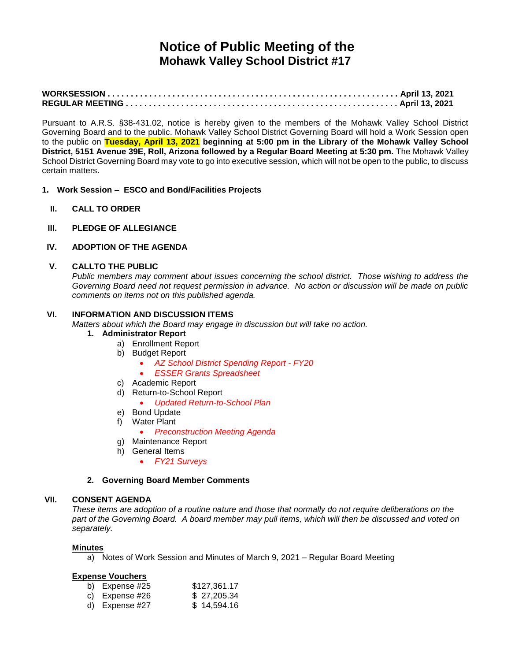# **Notice of Public Meeting of the Mohawk Valley School District #17**

Pursuant to A.R.S. §38-431.02, notice is hereby given to the members of the Mohawk Valley School District Governing Board and to the public. Mohawk Valley School District Governing Board will hold a Work Session open to the public on **Tuesday, April 13, 2021 beginning at 5:00 pm in the Library of the Mohawk Valley School District, 5151 Avenue 39E, Roll, Arizona followed by a Regular Board Meeting at 5:30 pm.** The Mohawk Valley School District Governing Board may vote to go into executive session, which will not be open to the public, to discuss certain matters.

- **1. Work Session – ESCO and Bond/Facilities Projects**
	- **II. CALL TO ORDER**
- **III. PLEDGE OF ALLEGIANCE**

# **IV. ADOPTION OF THE AGENDA**

#### **V. CALLTO THE PUBLIC**

*Public members may comment about issues concerning the school district. Those wishing to address the Governing Board need not request permission in advance. No action or discussion will be made on public comments on items not on this published agenda.*

### **VI. INFORMATION AND DISCUSSION ITEMS**

*Matters about which the Board may engage in discussion but will take no action.*

#### **1. Administrator Report**

- a) Enrollment Report
- b) Budget Report
	- *AZ School District Spending Report - FY20*
	- *ESSER Grants Spreadsheet*
- c) Academic Report
- d) Return-to-School Report
	- *Updated Return-to-School Plan*
- e) Bond Update
- f) Water Plant
	- *Preconstruction Meeting Agenda*
- g) Maintenance Report
- h) General Items
	- *FY21 Surveys*

#### **2. Governing Board Member Comments**

#### **VII. CONSENT AGENDA**

*These items are adoption of a routine nature and those that normally do not require deliberations on the part of the Governing Board. A board member may pull items, which will then be discussed and voted on separately.*

#### **Minutes**

a) Notes of Work Session and Minutes of March 9, 2021 – Regular Board Meeting

#### **Expense Vouchers**

| b) Expense #25 | \$127,361.17 |
|----------------|--------------|
| c) Expense #26 | \$27,205.34  |
| d) Expense #27 | \$14,594.16  |